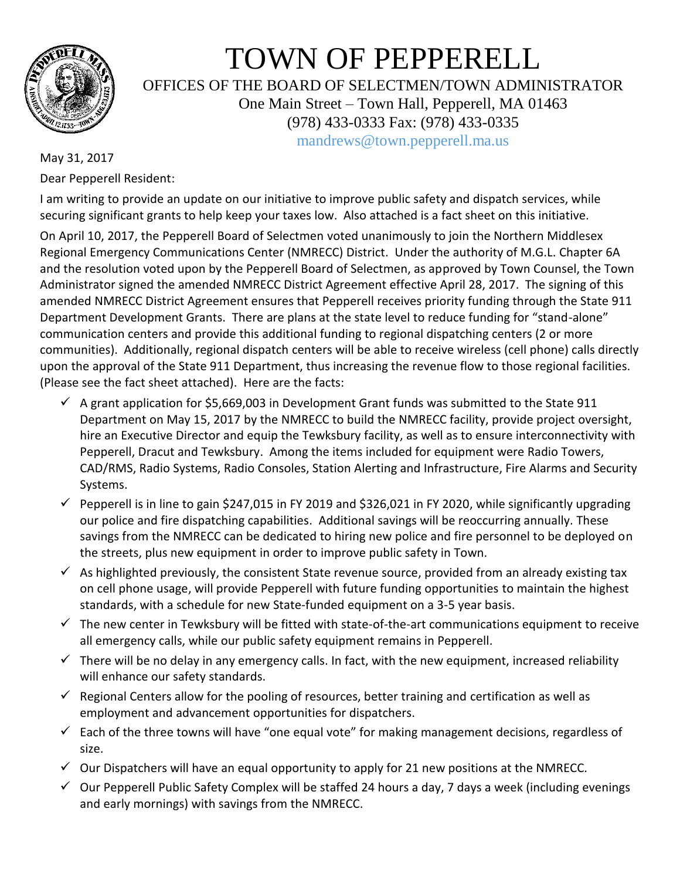

## TOWN OF PEPPERELL

OFFICES OF THE BOARD OF SELECTMEN/TOWN ADMINISTRATOR One Main Street – Town Hall, Pepperell, MA 01463 (978) 433-0333 Fax: (978) 433-0335 [mandrews@town.pepperell.ma.us](mailto:mandrews@town.pepperell.ma.us)

May 31, 2017

Dear Pepperell Resident:

I am writing to provide an update on our initiative to improve public safety and dispatch services, while securing significant grants to help keep your taxes low. Also attached is a fact sheet on this initiative.

On April 10, 2017, the Pepperell Board of Selectmen voted unanimously to join the Northern Middlesex Regional Emergency Communications Center (NMRECC) District. Under the authority of M.G.L. Chapter 6A and the resolution voted upon by the Pepperell Board of Selectmen, as approved by Town Counsel, the Town Administrator signed the amended NMRECC District Agreement effective April 28, 2017. The signing of this amended NMRECC District Agreement ensures that Pepperell receives priority funding through the State 911 Department Development Grants. There are plans at the state level to reduce funding for "stand-alone" communication centers and provide this additional funding to regional dispatching centers (2 or more communities). Additionally, regional dispatch centers will be able to receive wireless (cell phone) calls directly upon the approval of the State 911 Department, thus increasing the revenue flow to those regional facilities. (Please see the fact sheet attached). Here are the facts:

- $\checkmark$  A grant application for \$5,669,003 in Development Grant funds was submitted to the State 911 Department on May 15, 2017 by the NMRECC to build the NMRECC facility, provide project oversight, hire an Executive Director and equip the Tewksbury facility, as well as to ensure interconnectivity with Pepperell, Dracut and Tewksbury. Among the items included for equipment were Radio Towers, CAD/RMS, Radio Systems, Radio Consoles, Station Alerting and Infrastructure, Fire Alarms and Security Systems.
- $\checkmark$  Pepperell is in line to gain \$247,015 in FY 2019 and \$326,021 in FY 2020, while significantly upgrading our police and fire dispatching capabilities. Additional savings will be reoccurring annually. These savings from the NMRECC can be dedicated to hiring new police and fire personnel to be deployed on the streets, plus new equipment in order to improve public safety in Town.
- $\checkmark$  As highlighted previously, the consistent State revenue source, provided from an already existing tax on cell phone usage, will provide Pepperell with future funding opportunities to maintain the highest standards, with a schedule for new State-funded equipment on a 3-5 year basis.
- $\checkmark$  The new center in Tewksbury will be fitted with state-of-the-art communications equipment to receive all emergency calls, while our public safety equipment remains in Pepperell.
- $\checkmark$  There will be no delay in any emergency calls. In fact, with the new equipment, increased reliability will enhance our safety standards.
- $\checkmark$  Regional Centers allow for the pooling of resources, better training and certification as well as employment and advancement opportunities for dispatchers.
- $\checkmark$  Each of the three towns will have "one equal vote" for making management decisions, regardless of size.
- $\checkmark$  Our Dispatchers will have an equal opportunity to apply for 21 new positions at the NMRECC.
- $\checkmark$  Our Pepperell Public Safety Complex will be staffed 24 hours a day, 7 days a week (including evenings and early mornings) with savings from the NMRECC.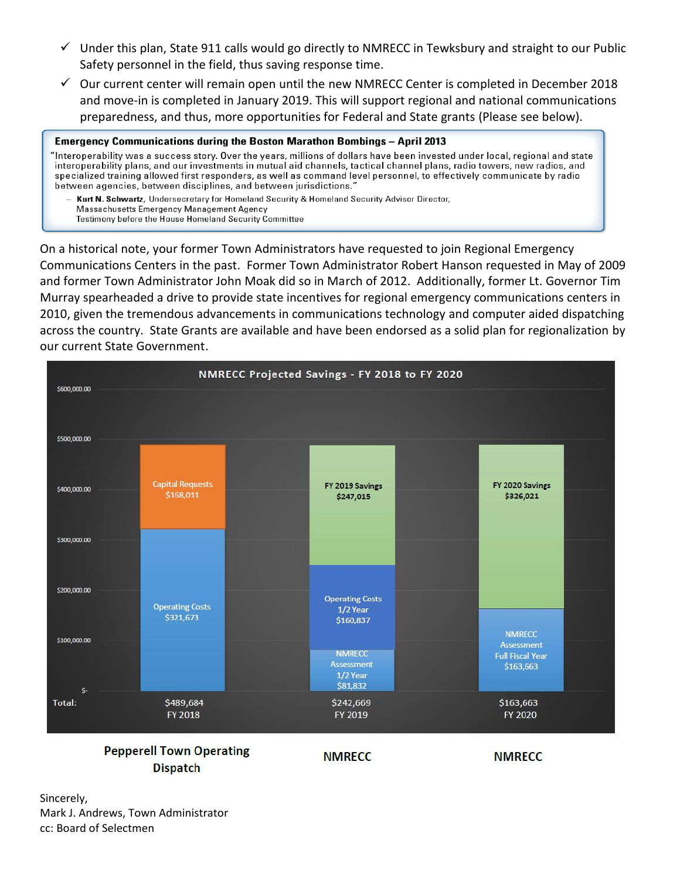- $\checkmark$  Under this plan, State 911 calls would go directly to NMRECC in Tewksbury and straight to our Public Safety personnel in the field, thus saving response time.
- $\checkmark$  Our current center will remain open until the new NMRECC Center is completed in December 2018 and move-in is completed in January 2019. This will support regional and national communications preparedness, and thus, more opportunities for Federal and State grants (Please see below).

## **Emergency Communications during the Boston Marathon Bombings - April 2013**

"Interoperability was a success story. Over the years, millions of dollars have been invested under local, regional and state interoperability plans, and our investments in mutual aid channels, tactical channel plans, radio towers, new radios, and specialized training allowed first responders, as well as command level personnel, to effectively communicate by radio between agencies, between disciplines, and between jurisdictions."

Kurt N. Schwartz, Undersecretary for Homeland Security & Homeland Security Advisor Director, Massachusetts Emergency Management Agency Testimony before the House Homeland Security Committee

On a historical note, your former Town Administrators have requested to join Regional Emergency Communications Centers in the past. Former Town Administrator Robert Hanson requested in May of 2009 and former Town Administrator John Moak did so in March of 2012. Additionally, former Lt. Governor Tim Murray spearheaded a drive to provide state incentives for regional emergency communications centers in 2010, given the tremendous advancements in communications technology and computer aided dispatching across the country. State Grants are available and have been endorsed as a solid plan for regionalization by our current State Government.



Sincerely, Mark J. Andrews, Town Administrator cc: Board of Selectmen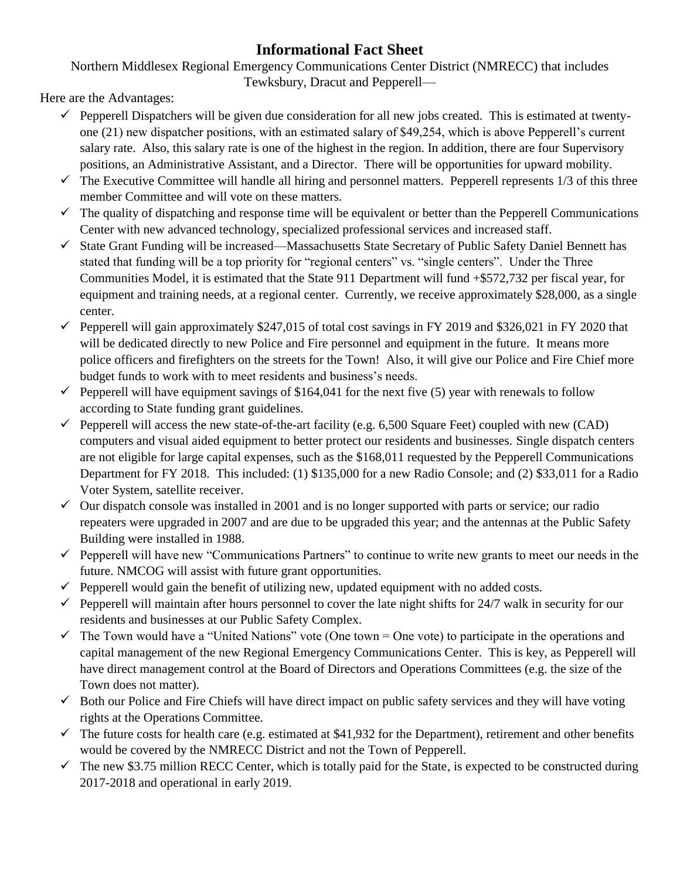## **Informational Fact Sheet**

Northern Middlesex Regional Emergency Communications Center District (NMRECC) that includes Tewksbury, Dracut and Pepperell—

Here are the Advantages:

- $\checkmark$  Pepperell Dispatchers will be given due consideration for all new jobs created. This is estimated at twentyone (21) new dispatcher positions, with an estimated salary of \$49,254, which is above Pepperell's current salary rate. Also, this salary rate is one of the highest in the region. In addition, there are four Supervisory positions, an Administrative Assistant, and a Director. There will be opportunities for upward mobility.
- $\checkmark$  The Executive Committee will handle all hiring and personnel matters. Pepperell represents 1/3 of this three member Committee and will vote on these matters.
- $\checkmark$  The quality of dispatching and response time will be equivalent or better than the Pepperell Communications Center with new advanced technology, specialized professional services and increased staff.
- $\checkmark$  State Grant Funding will be increased—Massachusetts State Secretary of Public Safety Daniel Bennett has stated that funding will be a top priority for "regional centers" vs. "single centers". Under the Three Communities Model, it is estimated that the State 911 Department will fund +\$572,732 per fiscal year, for equipment and training needs, at a regional center. Currently, we receive approximately \$28,000, as a single center.
- Pepperell will gain approximately \$247,015 of total cost savings in FY 2019 and \$326,021 in FY 2020 that will be dedicated directly to new Police and Fire personnel and equipment in the future. It means more police officers and firefighters on the streets for the Town! Also, it will give our Police and Fire Chief more budget funds to work with to meet residents and business's needs.
- Pepperell will have equipment savings of  $$164,041$  for the next five (5) year with renewals to follow according to State funding grant guidelines.
- $\checkmark$  Pepperell will access the new state-of-the-art facility (e.g. 6,500 Square Feet) coupled with new (CAD) computers and visual aided equipment to better protect our residents and businesses. Single dispatch centers are not eligible for large capital expenses, such as the \$168,011 requested by the Pepperell Communications Department for FY 2018. This included: (1) \$135,000 for a new Radio Console; and (2) \$33,011 for a Radio Voter System, satellite receiver.
- $\checkmark$  Our dispatch console was installed in 2001 and is no longer supported with parts or service; our radio repeaters were upgraded in 2007 and are due to be upgraded this year; and the antennas at the Public Safety Building were installed in 1988.
- $\checkmark$  Pepperell will have new "Communications Partners" to continue to write new grants to meet our needs in the future. NMCOG will assist with future grant opportunities.
- $\checkmark$  Pepperell would gain the benefit of utilizing new, updated equipment with no added costs.
- $\checkmark$  Pepperell will maintain after hours personnel to cover the late night shifts for 24/7 walk in security for our residents and businesses at our Public Safety Complex.
- $\checkmark$  The Town would have a "United Nations" vote (One town = One vote) to participate in the operations and capital management of the new Regional Emergency Communications Center. This is key, as Pepperell will have direct management control at the Board of Directors and Operations Committees (e.g. the size of the Town does not matter).
- $\checkmark$  Both our Police and Fire Chiefs will have direct impact on public safety services and they will have voting rights at the Operations Committee.
- $\checkmark$  The future costs for health care (e.g. estimated at \$41,932 for the Department), retirement and other benefits would be covered by the NMRECC District and not the Town of Pepperell.
- $\checkmark$  The new \$3.75 million RECC Center, which is totally paid for the State, is expected to be constructed during 2017-2018 and operational in early 2019.